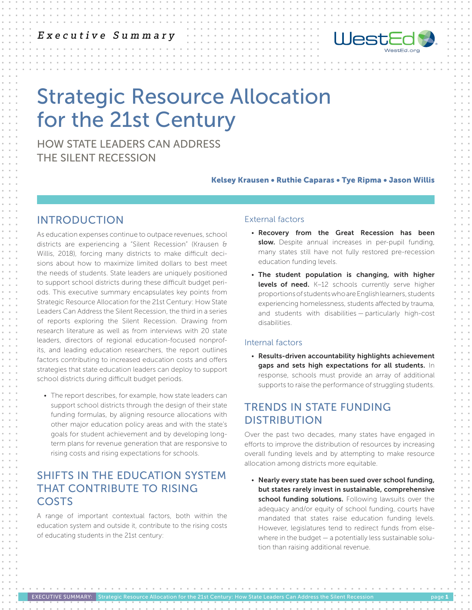## Executive Summary



# Strategic Resource Allocation for the 21st Century

HOW STATE LEADERS CAN ADDRESS THE SILENT RECESSION

#### Kelsey Krausen • Ruthie Caparas • Tye Ripma • Jason Willis

## INTRODUCTION

As education expenses continue to outpace revenues, school districts are experiencing a "Silent Recession" (Krausen & Willis, 2018), forcing many districts to make difficult decisions about how to maximize limited dollars to best meet the needs of students. State leaders are uniquely positioned to support school districts during these difficult budget periods. This executive summary encapsulates key points from Strategic Resource Allocation for the 21st Century: How State Leaders Can Address the Silent Recession, the third in a series of reports exploring the Silent Recession. Drawing from research literature as well as from interviews with 20 state leaders, directors of regional education-focused nonprofits, and leading education researchers, the report outlines factors contributing to increased education costs and offers strategies that state education leaders can deploy to support school districts during difficult budget periods.

• The report describes, for example, how state leaders can support school districts through the design of their state funding formulas, by aligning resource allocations with other major education policy areas and with the state's goals for student achievement and by developing longterm plans for revenue generation that are responsive to rising costs and rising expectations for schools.

## SHIFTS IN THE EDUCATION SYSTEM THAT CONTRIBUTE TO RISING COSTS

A range of important contextual factors, both within the education system and outside it, contribute to the rising costs of educating students in the 21st century:

EXECUTIVE SUMMARY: Strategic Resource Allocation for the 21st Century: How State Leaders Can Address the Silent Recession

#### External factors

- Recovery from the Great Recession has been slow. Despite annual increases in per-pupil funding, many states still have not fully restored pre-recession education funding levels.
- The student population is changing, with higher levels of need. K-12 schools currently serve higher proportions of students who are English learners, students experiencing homelessness, students affected by trauma, and students with disabilities — particularly high-cost disabilities.

#### Internal factors

• Results-driven accountability highlights achievement gaps and sets high expectations for all students. In response, schools must provide an array of additional supports to raise the performance of struggling students.

## TRENDS IN STATE FUNDING DISTRIBUTION

Over the past two decades, many states have engaged in efforts to improve the distribution of resources by increasing overall funding levels and by attempting to make resource allocation among districts more equitable.

• Nearly every state has been sued over school funding, but states rarely invest in sustainable, comprehensive school funding solutions. Following lawsuits over the adequacy and/or equity of school funding, courts have mandated that states raise education funding levels. However, legislatures tend to redirect funds from elsewhere in the budget — a potentially less sustainable solution than raising additional revenue.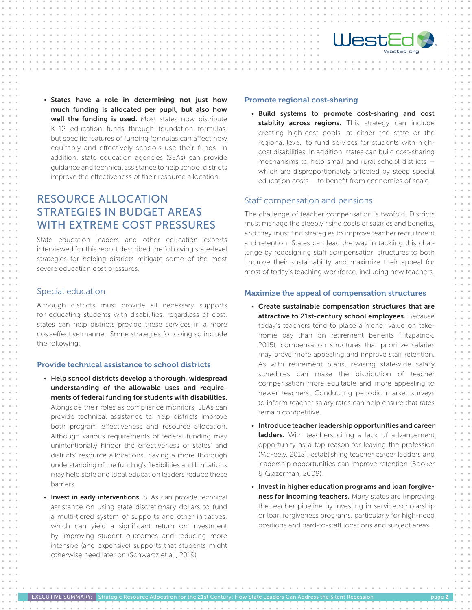

• States have a role in determining not just how much funding is allocated per pupil, but also how well the funding is used. Most states now distribute K–12 education funds through foundation formulas, but specific features of funding formulas can affect how equitably and effectively schools use their funds. In addition, state education agencies (SEAs) can provide guidance and technical assistance to help school districts improve the effectiveness of their resource allocation.

## RESOURCE ALLOCATION STRATEGIES IN BUDGET AREAS WITH EXTREME COST PRESSURES

State education leaders and other education experts interviewed for this report described the following state-level strategies for helping districts mitigate some of the most severe education cost pressures.

#### Special education

Although districts must provide all necessary supports for educating students with disabilities, regardless of cost, states can help districts provide these services in a more cost-effective manner. Some strategies for doing so include the following:

#### Provide technical assistance to school districts

- Help school districts develop a thorough, widespread understanding of the allowable uses and requirements of federal funding for students with disabilities. Alongside their roles as compliance monitors, SEAs can provide technical assistance to help districts improve both program effectiveness and resource allocation. Although various requirements of federal funding may unintentionally hinder the effectiveness of states' and districts' resource allocations, having a more thorough understanding of the funding's flexibilities and limitations may help state and local education leaders reduce these barriers.
- Invest in early interventions. SEAs can provide technical assistance on using state discretionary dollars to fund a multi-tiered system of supports and other initiatives, which can yield a significant return on investment by improving student outcomes and reducing more intensive (and expensive) supports that students might otherwise need later on (Schwartz et al., 2019).

the contract of the contract of the con-

#### Promote regional cost-sharing

• Build systems to promote cost-sharing and cost stability across regions. This strategy can include creating high-cost pools, at either the state or the regional level, to fund services for students with highcost disabilities. In addition, states can build cost-sharing mechanisms to help small and rural school districts which are disproportionately affected by steep special education costs — to benefit from economies of scale.

#### Staff compensation and pensions

The challenge of teacher compensation is twofold: Districts must manage the steeply rising costs of salaries and benefits, and they must find strategies to improve teacher recruitment and retention. States can lead the way in tackling this challenge by redesigning staff compensation structures to both improve their sustainability and maximize their appeal for most of today's teaching workforce, including new teachers.

#### Maximize the appeal of compensation structures

- Create sustainable compensation structures that are attractive to 21st-century school employees. Because today's teachers tend to place a higher value on takehome pay than on retirement benefits (Fitzpatrick, 2015), compensation structures that prioritize salaries may prove more appealing and improve staff retention. As with retirement plans, revising statewide salary schedules can make the distribution of teacher compensation more equitable and more appealing to newer teachers. Conducting periodic market surveys to inform teacher salary rates can help ensure that rates remain competitive.
- Introduce teacher leadership opportunities and career ladders. With teachers citing a lack of advancement opportunity as a top reason for leaving the profession (McFeely, 2018), establishing teacher career ladders and leadership opportunities can improve retention (Booker & Glazerman, 2009).
- Invest in higher education programs and loan forgiveness for incoming teachers. Many states are improving the teacher pipeline by investing in service scholarship or loan forgiveness programs, particularly for high-need positions and hard-to-staff locations and subject areas.

a construction of the construction of the construction of the construction of the construction of the construction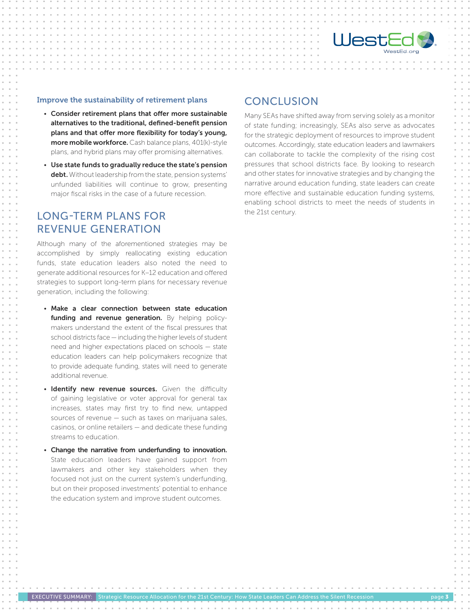

#### Improve the sustainability of retirement plans

- Consider retirement plans that offer more sustainable alternatives to the traditional, defined-benefit pension plans and that offer more flexibility for today's young, more mobile workforce. Cash balance plans, 401(k)-style plans, and hybrid plans may offer promising alternatives.
- Use state funds to gradually reduce the state's pension debt. Without leadership from the state, pension systems' unfunded liabilities will continue to grow, presenting major fiscal risks in the case of a future recession.

## LONG-TERM PLANS FOR REVENUE GENERATION

Although many of the aforementioned strategies may be accomplished by simply reallocating existing education funds, state education leaders also noted the need to generate additional resources for K–12 education and offered strategies to support long-term plans for necessary revenue generation, including the following:

- Make a clear connection between state education funding and revenue generation. By helping policymakers understand the extent of the fiscal pressures that school districts face — including the higher levels of student need and higher expectations placed on schools — state education leaders can help policymakers recognize that to provide adequate funding, states will need to generate additional revenue.
- Identify new revenue sources. Given the difficulty of gaining legislative or voter approval for general tax increases, states may first try to find new, untapped sources of revenue — such as taxes on marijuana sales, casinos, or online retailers — and dedicate these funding streams to education.
- Change the narrative from underfunding to innovation. State education leaders have gained support from lawmakers and other key stakeholders when they focused not just on the current system's underfunding, but on their proposed investments' potential to enhance the education system and improve student outcomes.

EXECUTIVE SUMMARY: Strategic Resource Allocation for the 21st Century: How State Leaders Can Address the Silent Recession

and the contract of the contract of

### **CONCLUSION**

Many SEAs have shifted away from serving solely as a monitor of state funding; increasingly, SEAs also serve as advocates for the strategic deployment of resources to improve student outcomes. Accordingly, state education leaders and lawmakers can collaborate to tackle the complexity of the rising cost pressures that school districts face. By looking to research and other states for innovative strategies and by changing the narrative around education funding, state leaders can create more effective and sustainable education funding systems, enabling school districts to meet the needs of students in the 21st century.